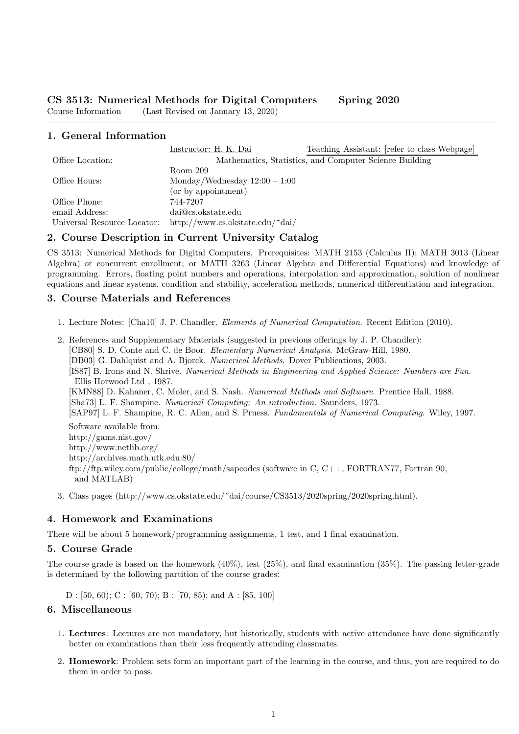Course Information (Last Revised on January 13, 2020)

# 1. General Information

|                             | Instructor: H. K. Dai                                  | Teaching Assistant: [refer to class Webpage] |
|-----------------------------|--------------------------------------------------------|----------------------------------------------|
| Office Location:            | Mathematics, Statistics, and Computer Science Building |                                              |
|                             | Room 209                                               |                                              |
| Office Hours:               | Monday/Wednesday $12:00 - 1:00$                        |                                              |
|                             | (or by appointment)                                    |                                              |
| Office Phone:               | 744-7207                                               |                                              |
| email Address:              | dai@cs.okstate.edu                                     |                                              |
| Universal Resource Locator: | http://www.cs.okstate.edu/~dai/                        |                                              |

————————————————————————————————————————————————————

## 2. Course Description in Current University Catalog

CS 3513: Numerical Methods for Digital Computers. Prerequisites: MATH 2153 (Calculus II); MATH 3013 (Linear Algebra) or concurrent enrollment; or MATH 3263 (Linear Algebra and Differential Equations) and knowledge of programming. Errors, floating point numbers and operations, interpolation and approximation, solution of nonlinear equations and linear systems, condition and stability, acceleration methods, numerical differentiation and integration.

## 3. Course Materials and References

- 1. Lecture Notes: [Cha10] J. P. Chandler. Elements of Numerical Computation. Recent Edition (2010).
- 2. References and Supplementary Materials (suggested in previous offerings by J. P. Chandler): [CB80] S. D. Conte and C. de Boor. Elementary Numerical Analysis. McGraw-Hill, 1980. [DB03] G. Dahlquist and A. Bjorck. Numerical Methods. Dover Publications, 2003. [IS87] B. Irons and N. Shrive. Numerical Methods in Engineering and Applied Science: Numbers are Fun. Ellis Horwood Ltd , 1987. [KMN88] D. Kahaner, C. Moler, and S. Nash. Numerical Methods and Software. Prentice Hall, 1988. [Sha73] L. F. Shampine. Numerical Computing: An introduction. Saunders, 1973. [SAP97] L. F. Shampine, R. C. Allen, and S. Pruess. Fundamentals of Numerical Computing. Wiley, 1997. Software available from: http://gams.nist.gov/ http://www.netlib.org/ http://archives.math.utk.edu:80/ ftp://ftp.wiley.com/public/college/math/sapcodes (software in C, C++, FORTRAN77, Fortran 90, and MATLAB)
- 3. Class pages (http://www.cs.okstate.edu/~dai/course/CS3513/2020spring/2020spring.html).

#### 4. Homework and Examinations

There will be about 5 homework/programming assignments, 1 test, and 1 final examination.

#### 5. Course Grade

The course grade is based on the homework (40%), test (25%), and final examination (35%). The passing letter-grade is determined by the following partition of the course grades:

 $D : [50, 60); C : [60, 70); B : [70, 85);$  and  $A : [85, 100]$ 

#### 6. Miscellaneous

- 1. Lectures: Lectures are not mandatory, but historically, students with active attendance have done significantly better on examinations than their less frequently attending classmates.
- 2. Homework: Problem sets form an important part of the learning in the course, and thus, you are required to do them in order to pass.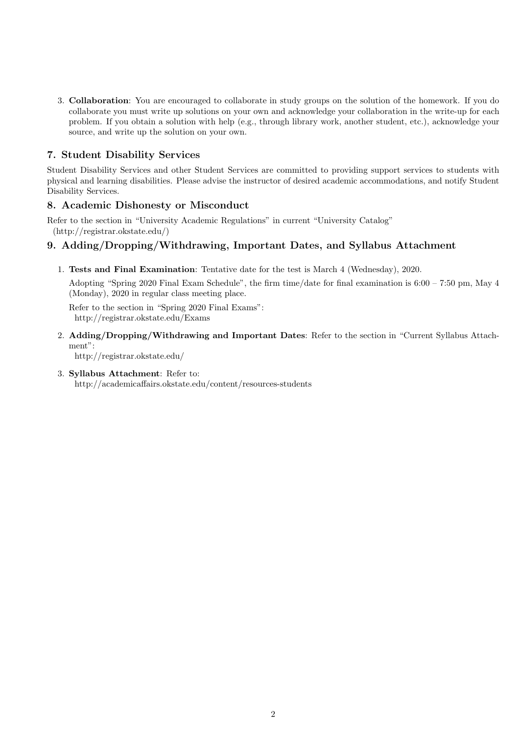3. Collaboration: You are encouraged to collaborate in study groups on the solution of the homework. If you do collaborate you must write up solutions on your own and acknowledge your collaboration in the write-up for each problem. If you obtain a solution with help (e.g., through library work, another student, etc.), acknowledge your source, and write up the solution on your own.

# 7. Student Disability Services

Student Disability Services and other Student Services are committed to providing support services to students with physical and learning disabilities. Please advise the instructor of desired academic accommodations, and notify Student Disability Services.

## 8. Academic Dishonesty or Misconduct

Refer to the section in "University Academic Regulations" in current "University Catalog" (http://registrar.okstate.edu/)

# 9. Adding/Dropping/Withdrawing, Important Dates, and Syllabus Attachment

1. Tests and Final Examination: Tentative date for the test is March 4 (Wednesday), 2020.

Adopting "Spring 2020 Final Exam Schedule", the firm time/date for final examination is 6:00 – 7:50 pm, May 4 (Monday), 2020 in regular class meeting place.

Refer to the section in "Spring 2020 Final Exams": http://registrar.okstate.edu/Exams

- 2. Adding/Dropping/Withdrawing and Important Dates: Refer to the section in "Current Syllabus Attachment": http://registrar.okstate.edu/
- 3. Syllabus Attachment: Refer to:

http://academicaffairs.okstate.edu/content/resources-students